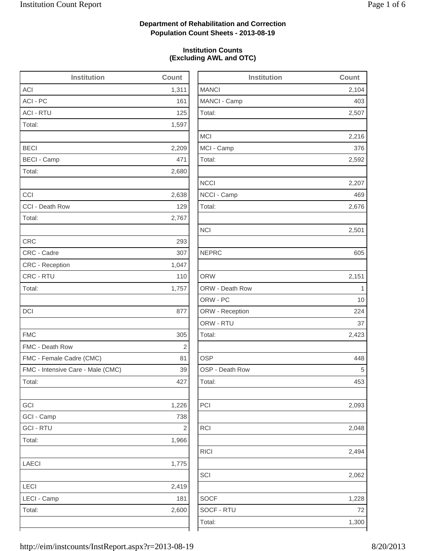2,104

2,507

2,216

2,592

2,676

2,423

2,093

2,048

2,494

2,062

1,228

## **Department of Rehabilitation and Correction Population Count Sheets - 2013-08-19**

### **Institution Counts (Excluding AWL and OTC)**

| <b>Institution</b>                | Count          | <b>Institution</b> | Count       |
|-----------------------------------|----------------|--------------------|-------------|
| ACI                               | 1,311          | <b>MANCI</b>       | 2,104       |
| ACI - PC                          | 161            | MANCI - Camp       | 403         |
| <b>ACI - RTU</b>                  | 125            | Total:             | 2,507       |
| Total:                            | 1,597          |                    |             |
|                                   |                | <b>MCI</b>         | 2,216       |
| <b>BECI</b>                       | 2,209          | MCI - Camp         | 376         |
| <b>BECI - Camp</b>                | 471            | Total:             | 2,592       |
| Total:                            | 2,680          |                    |             |
|                                   |                | <b>NCCI</b>        | 2,207       |
| CCI                               | 2,638          | NCCI - Camp        | 469         |
| CCI - Death Row                   | 129            | Total:             | 2,676       |
| Total:                            | 2,767          |                    |             |
|                                   |                | <b>NCI</b>         | 2,501       |
| <b>CRC</b>                        | 293            |                    |             |
| CRC - Cadre                       | 307            | <b>NEPRC</b>       | 605         |
| CRC - Reception                   | 1,047          |                    |             |
| CRC - RTU                         | 110            | <b>ORW</b>         | 2,151       |
| Total:                            | 1,757          | ORW - Death Row    | $\mathbf 1$ |
|                                   |                | ORW - PC           | 10          |
| <b>DCI</b>                        | 877            | ORW - Reception    | 224         |
|                                   |                | ORW - RTU          | 37          |
| <b>FMC</b>                        | 305            | Total:             | 2,423       |
| FMC - Death Row                   | $\overline{2}$ |                    |             |
| FMC - Female Cadre (CMC)          | 81             | <b>OSP</b>         | 448         |
| FMC - Intensive Care - Male (CMC) | 39             | OSP - Death Row    | 5           |
| Total:                            | 427            | Total:             | 453         |
| GCI                               | 1,226          | PCI                | 2,093       |
| GCI - Camp                        | 738            |                    |             |
| <b>GCI - RTU</b>                  | $\sqrt{2}$     | RCI                | 2,048       |
| Total:                            | 1,966          |                    |             |
|                                   |                | <b>RICI</b>        | 2,494       |
| LAECI                             | 1,775          |                    |             |
|                                   |                | SCI                | 2,062       |
| LECI                              | 2,419          |                    |             |
| LECI - Camp                       | 181            | <b>SOCF</b>        | 1,228       |
| Total:                            | 2,600          | SOCF - RTU         | 72          |
|                                   |                | Total:             | 1,300       |
|                                   |                |                    |             |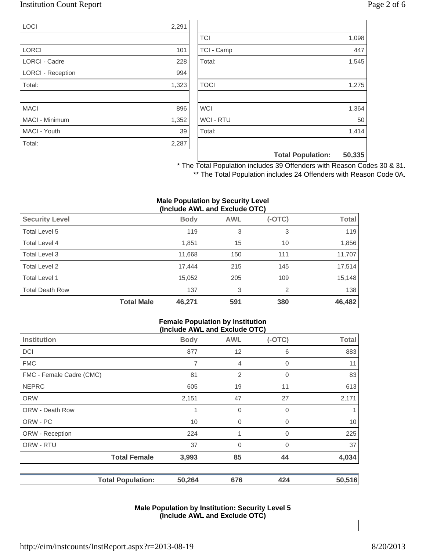### Institution Count Report Page 2 of 6

| <b>LOCI</b>              | 2,291 |
|--------------------------|-------|
|                          |       |
| <b>LORCI</b>             | 101   |
| <b>LORCI - Cadre</b>     | 228   |
| <b>LORCI - Reception</b> | 994   |
| Total:                   | 1,323 |
|                          |       |
| <b>MACI</b>              | 896   |
| MACI - Minimum           | 1,352 |
| MACI - Youth             | 39    |
| Total:                   | 2,287 |

|                  | <b>Total Population:</b> | 50,335 |
|------------------|--------------------------|--------|
|                  |                          |        |
| Total:           |                          | 1,414  |
| <b>WCI - RTU</b> |                          | 50     |
| <b>WCI</b>       |                          | 1,364  |
|                  |                          |        |
| <b>TOCI</b>      |                          | 1,275  |
|                  |                          |        |
| Total:           |                          | 1,545  |
| TCI - Camp       |                          | 447    |
| <b>TCI</b>       |                          | 1,098  |

\* The Total Population includes 39 Offenders with Reason Codes 30 & 31. \*\* The Total Population includes 24 Offenders with Reason Code 0A.

#### **Male Population by Security Level (Include AWL and Exclude OTC)**

|                        |                   | , <del>.</del> |            |          |              |
|------------------------|-------------------|----------------|------------|----------|--------------|
| <b>Security Level</b>  |                   | <b>Body</b>    | <b>AWL</b> | $(-OTC)$ | <b>Total</b> |
| Total Level 5          |                   | 119            | 3          | 3        | 119          |
| Total Level 4          |                   | 1,851          | 15         | 10       | 1,856        |
| Total Level 3          |                   | 11,668         | 150        | 111      | 11,707       |
| Total Level 2          |                   | 17.444         | 215        | 145      | 17,514       |
| Total Level 1          |                   | 15,052         | 205        | 109      | 15,148       |
| <b>Total Death Row</b> |                   | 137            | 3          | 2        | 138          |
|                        | <b>Total Male</b> | 46,271         | 591        | 380      | 46,482       |

#### **Female Population by Institution (Include AWL and Exclude OTC)**

|                          |             | (II)           |          |              |
|--------------------------|-------------|----------------|----------|--------------|
| <b>Institution</b>       | <b>Body</b> | <b>AWL</b>     | $(-OTC)$ | <b>Total</b> |
| <b>DCI</b>               | 877         | 12             | 6        | 883          |
| <b>FMC</b>               | 7           | $\overline{4}$ | 0        | 11           |
| FMC - Female Cadre (CMC) | 81          | $\overline{2}$ | 0        | 83           |
| <b>NEPRC</b>             | 605         | 19             | 11       | 613          |
| <b>ORW</b>               | 2,151       | 47             | 27       | 2,171        |
| <b>ORW - Death Row</b>   | 1           | 0              | 0        |              |
| ORW - PC                 | 10          | $\mathbf 0$    | 0        | 10           |
| ORW - Reception          | 224         | 1              | 0        | 225          |
| ORW - RTU                | 37          | 0              | 0        | 37           |
| <b>Total Female</b>      | 3,993       | 85             | 44       | 4,034        |
| <b>Total Population:</b> | 50,264      | 676            | 424      | 50,516       |

#### **Male Population by Institution: Security Level 5 (Include AWL and Exclude OTC)**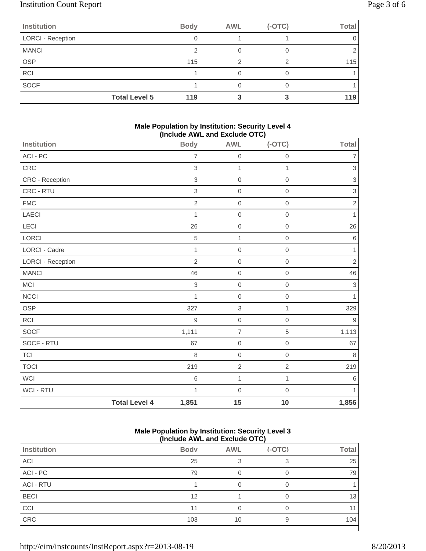# Institution Count Report Page 3 of 6

| Page 3 of |
|-----------|
|           |

| Institution          | <b>Body</b> | <b>AWL</b> | $(-OTC)$ | <b>Total</b> |
|----------------------|-------------|------------|----------|--------------|
| LORCI - Reception    |             |            |          |              |
| <b>MANCI</b>         |             |            |          |              |
| <b>OSP</b>           | 115         |            |          | 115          |
| <b>RCI</b>           |             |            |          |              |
| SOCF                 |             |            |          |              |
| <b>Total Level 5</b> | 119         |            |          | 119          |

#### **Male Population by Institution: Security Level 4 (Include AWL and Exclude OTC)**

| Institution              |                      | ,<br><b>Body</b> | .<br>,,,,,,,,,,,,<br><b>AWL</b> | $(-OTC)$     | Total                     |
|--------------------------|----------------------|------------------|---------------------------------|--------------|---------------------------|
| ACI - PC                 |                      | $\overline{7}$   | $\mathbf 0$                     | $\mathbf 0$  | 7                         |
| CRC                      |                      | 3                | $\mathbf{1}$                    | $\mathbf{1}$ | $\ensuremath{\mathsf{3}}$ |
| CRC - Reception          |                      | 3                | $\mathbf 0$                     | $\mathbf 0$  | $\ensuremath{\mathsf{3}}$ |
| CRC - RTU                |                      | 3                | $\mathbf 0$                     | $\mathbf 0$  | $\ensuremath{\mathsf{3}}$ |
| <b>FMC</b>               |                      | $\overline{2}$   | $\mathbf 0$                     | $\mathbf 0$  | $\sqrt{2}$                |
| LAECI                    |                      | 1                | $\mbox{O}$                      | $\mathbf 0$  | 1                         |
| LECI                     |                      | 26               | $\mathbf 0$                     | $\mathbf 0$  | 26                        |
| LORCI                    |                      | 5                | $\mathbf{1}$                    | $\mathbf 0$  | 6                         |
| <b>LORCI - Cadre</b>     |                      | $\mathbf{1}$     | $\boldsymbol{0}$                | $\mathbf 0$  | 1                         |
| <b>LORCI - Reception</b> |                      | $\overline{2}$   | $\mathbf 0$                     | $\mathbf 0$  | $\overline{2}$            |
| <b>MANCI</b>             |                      | 46               | $\boldsymbol{0}$                | $\mathbf 0$  | 46                        |
| MCI                      |                      | $\,$ 3 $\,$      | $\mathbf 0$                     | $\mathbf 0$  | $\ensuremath{\mathsf{3}}$ |
| <b>NCCI</b>              |                      | $\mathbf{1}$     | $\mathbf 0$                     | $\mathbf 0$  | 1                         |
| OSP                      |                      | 327              | $\,$ 3 $\,$                     | 1            | 329                       |
| <b>RCI</b>               |                      | 9                | $\mathbf 0$                     | $\mathbf 0$  | 9                         |
| SOCF                     |                      | 1,111            | $\overline{7}$                  | $\sqrt{5}$   | 1,113                     |
| SOCF - RTU               |                      | 67               | $\boldsymbol{0}$                | $\mathbf 0$  | 67                        |
| <b>TCI</b>               |                      | 8                | $\mathbf 0$                     | $\mathbf 0$  | 8                         |
| <b>TOCI</b>              |                      | 219              | $\overline{2}$                  | $\sqrt{2}$   | 219                       |
| <b>WCI</b>               |                      | 6                | 1                               | $\mathbf{1}$ | 6                         |
| WCI - RTU                |                      | $\mathbf{1}$     | $\mathbf 0$                     | $\mathbf 0$  | 1                         |
|                          | <b>Total Level 4</b> | 1,851            | 15                              | 10           | 1,856                     |

### **Male Population by Institution: Security Level 3 (Include AWL and Exclude OTC)**

|                  | .           |            | -- - - - - |              |
|------------------|-------------|------------|------------|--------------|
| Institution      | <b>Body</b> | <b>AWL</b> | $(-OTC)$   | <b>Total</b> |
| ACI              | 25          |            |            | 25           |
| ACI - PC         | 79          | 0          | 0          | 79           |
| <b>ACI - RTU</b> |             |            | 0          |              |
| <b>BECI</b>      | 12          |            | 0          | 13           |
| CCI              | 11          | 0          | 0          |              |
| CRC              | 103         | 10         | 9          | 104          |
|                  |             |            |            |              |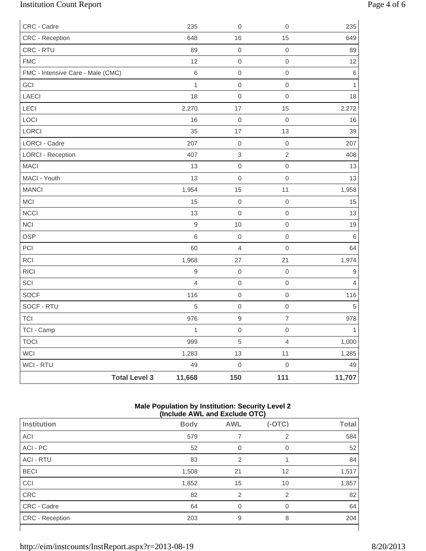# Institution Count Report Page 4 of 6

| CRC - Cadre                       |                      | 235            | $\boldsymbol{0}$ | $\mathbf 0$              | 235            |
|-----------------------------------|----------------------|----------------|------------------|--------------------------|----------------|
| CRC - Reception                   |                      | 648            | 16               | 15                       | 649            |
| CRC - RTU                         |                      | 89             | $\mbox{O}$       | $\mbox{O}$               | 89             |
| <b>FMC</b>                        |                      | 12             | $\mathbf 0$      | $\mathsf{O}\xspace$      | 12             |
| FMC - Intensive Care - Male (CMC) |                      | 6              | $\mathbf 0$      | $\mathsf{O}\xspace$      | $\,6\,$        |
| GCI                               |                      | $\mathbf{1}$   | $\mathbf 0$      | $\mbox{O}$               | $\mathbf{1}$   |
| LAECI                             |                      | 18             | $\mathbf 0$      | $\mathbf 0$              | 18             |
| LECI                              |                      | 2,270          | 17               | 15                       | 2,272          |
| LOCI                              |                      | 16             | $\mathbf 0$      | $\mathsf{O}\xspace$      | 16             |
| LORCI                             |                      | 35             | 17               | 13                       | 39             |
| <b>LORCI - Cadre</b>              |                      | 207            | $\mbox{O}$       | $\mathbf 0$              | 207            |
| <b>LORCI - Reception</b>          |                      | 407            | $\,$ 3 $\,$      | $\overline{2}$           | 408            |
| MACI                              |                      | 13             | $\mbox{O}$       | $\mathsf{O}\xspace$      | 13             |
| MACI - Youth                      |                      | 13             | $\mathbf 0$      | $\mathsf{O}\xspace$      | 13             |
| <b>MANCI</b>                      |                      | 1,954          | 15               | 11                       | 1,958          |
| MCI                               |                      | 15             | $\mathbf 0$      | $\mathbf 0$              | 15             |
| <b>NCCI</b>                       |                      | 13             | $\mathbf 0$      | $\mathbf 0$              | 13             |
| NCI                               |                      | $\hbox{9}$     | 10               | $\mathsf{O}\xspace$      | 19             |
| <b>OSP</b>                        |                      | 6              | $\mathbf 0$      | $\mathsf{O}\xspace$      | $\,6\,$        |
| PCI                               |                      | 60             | $\overline{4}$   | $\mathsf{O}\xspace$      | 64             |
| <b>RCI</b>                        |                      | 1,968          | 27               | 21                       | 1,974          |
| <b>RICI</b>                       |                      | $\hbox{9}$     | $\mathbf 0$      | $\mathbf 0$              | $\mathsf g$    |
| SCI                               |                      | $\overline{4}$ | $\mbox{O}$       | $\mathsf{O}\xspace$      | $\overline{4}$ |
| SOCF                              |                      | 116            | $\mathbf 0$      | $\mbox{O}$               | 116            |
| SOCF - RTU                        |                      | 5              | $\mbox{O}$       | $\mbox{O}$               | 5              |
| <b>TCI</b>                        |                      | 976            | $\boldsymbol{9}$ | $\overline{\mathcal{I}}$ | 978            |
| TCI - Camp                        |                      | $\mathbf{1}$   | $\mathbf 0$      | $\mathbf 0$              | $\mathbf{1}$   |
| <b>TOCI</b>                       |                      | 999            | $\sqrt{5}$       | $\overline{4}$           | 1,000          |
| <b>WCI</b>                        |                      | 1,283          | 13               | 11                       | 1,285          |
| WCI - RTU                         |                      | 49             | $\mathbf 0$      | $\mathbf 0$              | 49             |
|                                   | <b>Total Level 3</b> | 11,668         | 150              | 111                      | 11,707         |

### **Male Population by Institution: Security Level 2 (Include AWL and Exclude OTC)**

| Institution      | <b>Body</b> | <b>AWL</b>     | $(-OTC)$       | <b>Total</b> |  |
|------------------|-------------|----------------|----------------|--------------|--|
| ACI              | 579         |                | 2              | 584          |  |
| ACI - PC         | 52          | $\Omega$       | 0              | 52           |  |
| <b>ACI - RTU</b> | 83          | $\overline{2}$ |                | 84           |  |
| <b>BECI</b>      | 1,508       | 21             | 12             | 1,517        |  |
| CCI              | 1,852       | 15             | 10             | 1,857        |  |
| CRC              | 82          | $\overline{2}$ | $\mathfrak{p}$ | 82           |  |
| CRC - Cadre      | 64          | $\Omega$       | $\Omega$       | 64           |  |
| CRC - Reception  | 203         | 9              | 8              | 204          |  |
|                  |             |                |                |              |  |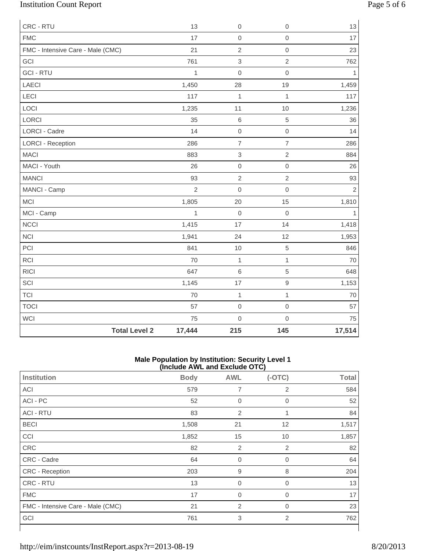# Institution Count Report Page 5 of 6

| CRC - RTU                         |                      | 13             | $\boldsymbol{0}$          | $\mathbf 0$         | 13         |
|-----------------------------------|----------------------|----------------|---------------------------|---------------------|------------|
| <b>FMC</b>                        |                      | 17             | $\boldsymbol{0}$          | $\mathbf 0$         | 17         |
| FMC - Intensive Care - Male (CMC) |                      | 21             | $\overline{2}$            | $\mathbf 0$         | 23         |
| GCI                               |                      | 761            | 3                         | $\overline{2}$      | 762        |
| <b>GCI - RTU</b>                  |                      | $\mathbf{1}$   | $\mathbf 0$               | $\mathbf 0$         | 1          |
| LAECI                             |                      | 1,450          | 28                        | 19                  | 1,459      |
| <b>LECI</b>                       |                      | 117            | $\mathbf{1}$              | $\mathbf{1}$        | 117        |
| LOCI                              |                      | 1,235          | 11                        | 10                  | 1,236      |
| LORCI                             |                      | 35             | $\,$ 6 $\,$               | $\,$ 5 $\,$         | 36         |
| <b>LORCI - Cadre</b>              |                      | 14             | $\mathbf 0$               | $\mathbf 0$         | 14         |
| <b>LORCI - Reception</b>          |                      | 286            | $\overline{7}$            | $\overline{7}$      | 286        |
| <b>MACI</b>                       |                      | 883            | $\ensuremath{\mathsf{3}}$ | $\overline{2}$      | 884        |
| MACI - Youth                      |                      | 26             | $\mathbf 0$               | $\mathsf{O}\xspace$ | 26         |
| <b>MANCI</b>                      |                      | 93             | $\overline{2}$            | $\overline{2}$      | 93         |
| MANCI - Camp                      |                      | $\overline{2}$ | $\mathbf 0$               | $\mathbf 0$         | $\sqrt{2}$ |
| MCI                               |                      | 1,805          | 20                        | 15                  | 1,810      |
| MCI - Camp                        |                      | $\mathbf{1}$   | $\boldsymbol{0}$          | $\mathbf 0$         | 1          |
| <b>NCCI</b>                       |                      | 1,415          | 17                        | 14                  | 1,418      |
| <b>NCI</b>                        |                      | 1,941          | 24                        | 12                  | 1,953      |
| PCI                               |                      | 841            | 10                        | $\,$ 5 $\,$         | 846        |
| <b>RCI</b>                        |                      | 70             | $\mathbf{1}$              | $\mathbf{1}$        | 70         |
| <b>RICI</b>                       |                      | 647            | $6\phantom{1}6$           | 5                   | 648        |
| SCI                               |                      | 1,145          | 17                        | $\hbox{9}$          | 1,153      |
| <b>TCI</b>                        |                      | 70             | $\mathbf 1$               | $\mathbf{1}$        | 70         |
| <b>TOCI</b>                       |                      | 57             | $\boldsymbol{0}$          | $\mathbf 0$         | 57         |
| <b>WCI</b>                        |                      | 75             | $\mathbf 0$               | $\mathbf 0$         | 75         |
|                                   | <b>Total Level 2</b> | 17,444         | 215                       | 145                 | 17,514     |

#### **Male Population by Institution: Security Level 1 (Include AWL and Exclude OTC)**

| ,<br>.                            |             |                |             |              |  |  |
|-----------------------------------|-------------|----------------|-------------|--------------|--|--|
| <b>Institution</b>                | <b>Body</b> | <b>AWL</b>     | $(-OTC)$    | <b>Total</b> |  |  |
| ACI                               | 579         | 7              | 2           | 584          |  |  |
| ACI - PC                          | 52          | $\mathbf 0$    | $\mathbf 0$ | 52           |  |  |
| <b>ACI - RTU</b>                  | 83          | $\overline{2}$ | 1           | 84           |  |  |
| <b>BECI</b>                       | 1,508       | 21             | 12          | 1,517        |  |  |
| <b>CCI</b>                        | 1,852       | 15             | 10          | 1,857        |  |  |
| CRC                               | 82          | 2              | 2           | 82           |  |  |
| CRC - Cadre                       | 64          | $\mathbf 0$    | $\mathbf 0$ | 64           |  |  |
| CRC - Reception                   | 203         | 9              | 8           | 204          |  |  |
| CRC - RTU                         | 13          | $\mathbf 0$    | $\mathbf 0$ | 13           |  |  |
| <b>FMC</b>                        | 17          | $\mathbf 0$    | $\mathbf 0$ | 17           |  |  |
| FMC - Intensive Care - Male (CMC) | 21          | $\overline{2}$ | 0           | 23           |  |  |
| GCI                               | 761         | 3              | 2           | 762          |  |  |
|                                   |             |                |             |              |  |  |